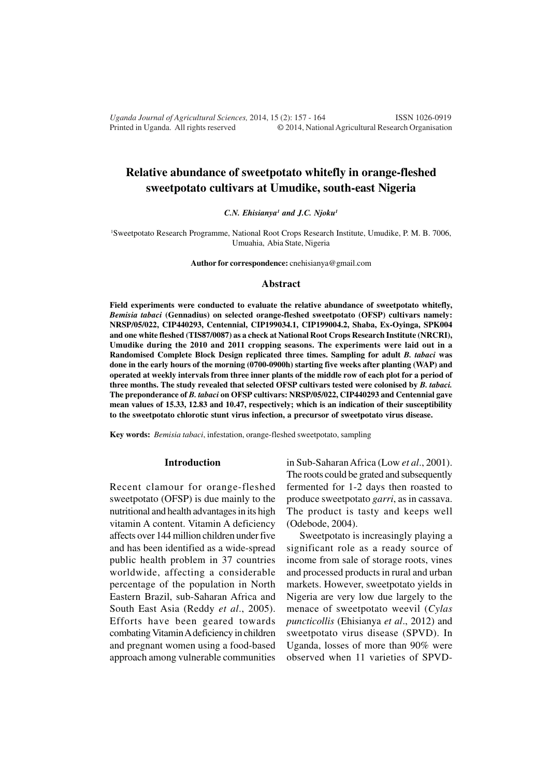*Uganda Journal of Agricultural Sciences,* 2014, 15 (2): 157 - 164 ISSN 1026-0919 Printed in Uganda. All rights reserved © 2014, National Agricultural Research Organisation

# **Relative abundance of sweetpotato whitefly in orange-fleshed sweetpotato cultivars at Umudike, south-east Nigeria**

*C.N. Ehisianya<sup>1</sup> and J.C. Njoku<sup>1</sup>*

<sup>1</sup>Sweetpotato Research Programme, National Root Crops Research Institute, Umudike, P. M. B. 7006, Umuahia, Abia State, Nigeria

**Author for correspondence:** cnehisianya@gmail.com

#### **Abstract**

**Field experiments were conducted to evaluate the relative abundance of sweetpotato whitefly,** *Bemisia tabaci* **(Gennadius) on selected orange-fleshed sweetpotato (OFSP) cultivars namely: NRSP/05/022, CIP440293, Centennial, CIP199034.1, CIP199004.2, Shaba, Ex-Oyinga, SPK004 and one white fleshed (TIS87/0087) as a check at National Root Crops Research Institute (NRCRI), Umudike during the 2010 and 2011 cropping seasons. The experiments were laid out in a Randomised Complete Block Design replicated three times. Sampling for adult** *B. tabaci* **was done in the early hours of the morning (0700-0900h) starting five weeks after planting (WAP) and operated at weekly intervals from three inner plants of the middle row of each plot for a period of three months. The study revealed that selected OFSP cultivars tested were colonised by** *B. tabaci.* **The preponderance of** *B. tabaci* **on OFSP cultivars: NRSP/05/022, CIP440293 and Centennial gave mean values of 15.33, 12.83 and 10.47, respectively; which is an indication of their susceptibility to the sweetpotato chlorotic stunt virus infection, a precursor of sweetpotato virus disease.**

**Key words:** *Bemisia tabaci*, infestation, orange-fleshed sweetpotato, sampling

#### **Introduction**

Recent clamour for orange-fleshed sweetpotato (OFSP) is due mainly to the nutritional and health advantages in its high vitamin A content. Vitamin A deficiency affects over 144 million children under five and has been identified as a wide-spread public health problem in 37 countries worldwide, affecting a considerable percentage of the population in North Eastern Brazil, sub-Saharan Africa and South East Asia (Reddy *et al*., 2005). Efforts have been geared towards combating Vitamin A deficiency in children and pregnant women using a food-based approach among vulnerable communities

in Sub-Saharan Africa (Low *et al*., 2001). The roots could be grated and subsequently fermented for 1-2 days then roasted to produce sweetpotato *garri*, as in cassava. The product is tasty and keeps well (Odebode, 2004).

Sweetpotato is increasingly playing a significant role as a ready source of income from sale of storage roots, vines and processed products in rural and urban markets. However, sweetpotato yields in Nigeria are very low due largely to the menace of sweetpotato weevil (*Cylas puncticollis* (Ehisianya *et al*., 2012) and sweetpotato virus disease (SPVD). In Uganda, losses of more than 90% were observed when 11 varieties of SPVD-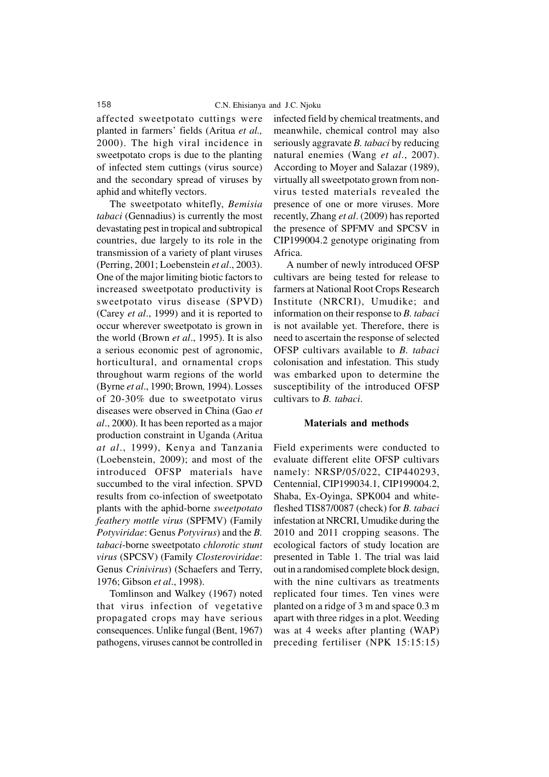affected sweetpotato cuttings were planted in farmers' fields (Aritua *et al.,* 2000). The high viral incidence in sweetpotato crops is due to the planting of infected stem cuttings (virus source) and the secondary spread of viruses by aphid and whitefly vectors.

The sweetpotato whitefly, *Bemisia tabaci* (Gennadius) is currently the most devastating pest in tropical and subtropical countries, due largely to its role in the transmission of a variety of plant viruses (Perring, 2001; Loebenstein *et al*., 2003). One of the major limiting biotic factors to increased sweetpotato productivity is sweetpotato virus disease (SPVD) (Carey *et al*., 1999) and it is reported to occur wherever sweetpotato is grown in the world (Brown *et al*., 1995). It is also a serious economic pest of agronomic, horticultural, and ornamental crops throughout warm regions of the world (Byrne *et al*., 1990; Brown*,* 1994). Losses of 20-30% due to sweetpotato virus diseases were observed in China (Gao *et al*., 2000). It has been reported as a major production constraint in Uganda (Aritua *at al*., 1999), Kenya and Tanzania (Loebenstein, 2009); and most of the introduced OFSP materials have succumbed to the viral infection. SPVD results from co-infection of sweetpotato plants with the aphid-borne *sweetpotato feathery mottle virus* (SPFMV) (Family *Potyviridae*: Genus *Potyvirus*) and the *B. tabaci*-borne sweetpotato *chlorotic stunt virus* (SPCSV) (Family *Closteroviridae*: Genus *Crinivirus*) (Schaefers and Terry, 1976; Gibson *et al*., 1998).

Tomlinson and Walkey (1967) noted that virus infection of vegetative propagated crops may have serious consequences. Unlike fungal (Bent, 1967) pathogens, viruses cannot be controlled in

infected field by chemical treatments, and meanwhile, chemical control may also seriously aggravate *B. tabaci* by reducing natural enemies (Wang *et al*., 2007). According to Moyer and Salazar (1989), virtually all sweetpotato grown from nonvirus tested materials revealed the presence of one or more viruses. More recently, Zhang *et al*. (2009) has reported the presence of SPFMV and SPCSV in CIP199004.2 genotype originating from Africa.

A number of newly introduced OFSP cultivars are being tested for release to farmers at National Root Crops Research Institute (NRCRI), Umudike; and information on their response to *B. tabaci* is not available yet. Therefore, there is need to ascertain the response of selected OFSP cultivars available to *B. tabaci* colonisation and infestation. This study was embarked upon to determine the susceptibility of the introduced OFSP cultivars to *B. tabaci*.

### **Materials and methods**

Field experiments were conducted to evaluate different elite OFSP cultivars namely: NRSP/05/022, CIP440293, Centennial, CIP199034.1, CIP199004.2, Shaba, Ex-Oyinga, SPK004 and whitefleshed TIS87/0087 (check) for *B. tabaci* infestation at NRCRI, Umudike during the 2010 and 2011 cropping seasons. The ecological factors of study location are presented in Table 1. The trial was laid out in a randomised complete block design, with the nine cultivars as treatments replicated four times. Ten vines were planted on a ridge of 3 m and space 0.3 m apart with three ridges in a plot. Weeding was at 4 weeks after planting (WAP) preceding fertiliser (NPK 15:15:15)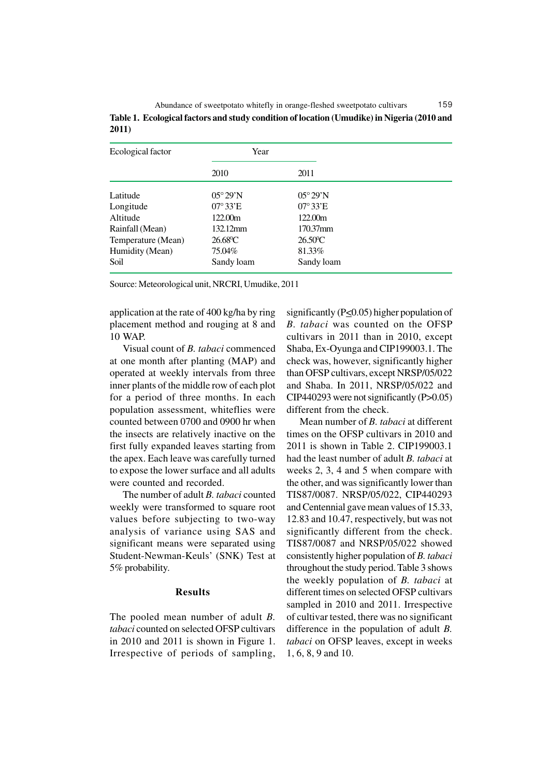| Abundance of sweetpotato whitefly in orange-fleshed sweetpotato cultivars                  | 159 |
|--------------------------------------------------------------------------------------------|-----|
| Table 1. Ecological factors and study condition of location (Umudike) in Nigeria (2010 and |     |
| 2011)                                                                                      |     |

| Ecological factor  | Year              |                   |  |
|--------------------|-------------------|-------------------|--|
|                    | 2010              | 2011              |  |
| Latitude           | $05^{\circ}29'$ N | $05^{\circ}29'$ N |  |
| Longitude          | $07^{\circ}33'E$  | $07^{\circ}33'E$  |  |
| Altitude           | 122.00m           | 122.00m           |  |
| Rainfall (Mean)    | $132.12$ mm       | 170.37mm          |  |
| Temperature (Mean) | $26.68^{\circ}C$  | $26.50^{\circ}$ C |  |
| Humidity (Mean)    | 75.04%            | 81.33%            |  |
| Soil               | Sandy loam        | Sandy loam        |  |

Source: Meteorological unit, NRCRI, Umudike, 2011

application at the rate of 400 kg/ha by ring placement method and rouging at 8 and 10 WAP.

Visual count of *B. tabaci* commenced at one month after planting (MAP) and operated at weekly intervals from three inner plants of the middle row of each plot for a period of three months. In each population assessment, whiteflies were counted between 0700 and 0900 hr when the insects are relatively inactive on the first fully expanded leaves starting from the apex. Each leave was carefully turned to expose the lower surface and all adults were counted and recorded.

The number of adult *B. tabaci* counted weekly were transformed to square root values before subjecting to two-way analysis of variance using SAS and significant means were separated using Student-Newman-Keuls' (SNK) Test at 5% probability.

### **Results**

The pooled mean number of adult *B. tabaci* counted on selected OFSP cultivars in 2010 and 2011 is shown in Figure 1. Irrespective of periods of sampling, significantly ( $P \le 0.05$ ) higher population of *B. tabaci* was counted on the OFSP cultivars in 2011 than in 2010, except Shaba, Ex-Oyunga and CIP199003.1. The check was, however, significantly higher than OFSP cultivars, except NRSP/05/022 and Shaba. In 2011, NRSP/05/022 and CIP440293 were not significantly (P>0.05) different from the check.

Mean number of *B. tabaci* at different times on the OFSP cultivars in 2010 and 2011 is shown in Table 2. CIP199003.1 had the least number of adult *B. tabaci* at weeks 2, 3, 4 and 5 when compare with the other, and was significantly lower than TIS87/0087. NRSP/05/022, CIP440293 and Centennial gave mean values of 15.33, 12.83 and 10.47, respectively, but was not significantly different from the check. TIS87/0087 and NRSP/05/022 showed consistently higher population of *B. tabaci* throughout the study period. Table 3 shows the weekly population of *B. tabaci* at different times on selected OFSP cultivars sampled in 2010 and 2011. Irrespective of cultivar tested, there was no significant difference in the population of adult *B. tabaci* on OFSP leaves, except in weeks 1, 6, 8, 9 and 10.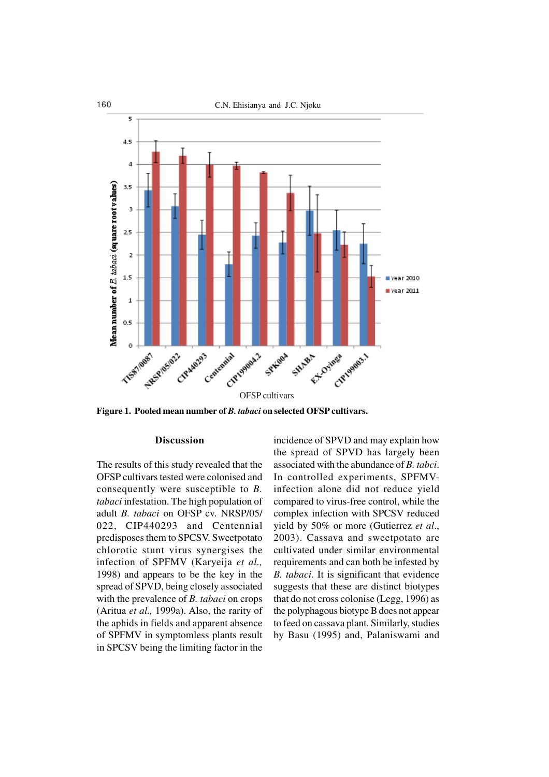



**Figure 1. Pooled mean number of** *B. tabaci* **on selected OFSP cultivars.**

### **Discussion**

The results of this study revealed that the OFSP cultivars tested were colonised and consequently were susceptible to *B. tabaci* infestation. The high population of adult *B. tabaci* on OFSP cv. NRSP/05/ 022, CIP440293 and Centennial predisposes them to SPCSV. Sweetpotato chlorotic stunt virus synergises the infection of SPFMV (Karyeija *et al.,* 1998) and appears to be the key in the spread of SPVD, being closely associated with the prevalence of *B. tabaci* on crops (Aritua *et al.,* 1999a). Also, the rarity of the aphids in fields and apparent absence of SPFMV in symptomless plants result in SPCSV being the limiting factor in the

incidence of SPVD and may explain how the spread of SPVD has largely been associated with the abundance of *B. tabci*. In controlled experiments, SPFMVinfection alone did not reduce yield compared to virus-free control, while the complex infection with SPCSV reduced yield by 50% or more (Gutierrez *et al*., 2003). Cassava and sweetpotato are cultivated under similar environmental requirements and can both be infested by *B. tabaci*. It is significant that evidence suggests that these are distinct biotypes that do not cross colonise (Legg, 1996) as the polyphagous biotype B does not appear to feed on cassava plant. Similarly, studies by Basu (1995) and, Palaniswami and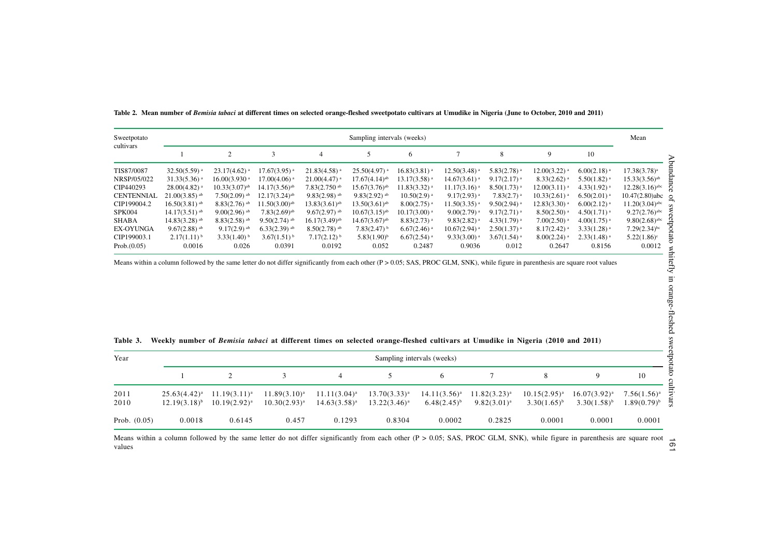| Sweetpotato       | Sampling intervals (weeks)  |                             |                             |                             |                             |                            |                            |                           | Mean                       |                           |                              |
|-------------------|-----------------------------|-----------------------------|-----------------------------|-----------------------------|-----------------------------|----------------------------|----------------------------|---------------------------|----------------------------|---------------------------|------------------------------|
| cultivars         |                             | 2                           |                             | 4                           |                             | 6                          |                            | 8                         | $\mathbf Q$                | 10                        |                              |
| TIS87/0087        | $32.50(5.59)$ <sup>a</sup>  | $23.17(4.62)$ <sup>a</sup>  | $17.67(3.95)$ <sup>a</sup>  | $21.83(4.58)$ <sup>a</sup>  | $25.50(4.97)$ <sup>a</sup>  | $16.83(3.81)$ <sup>a</sup> | $12.50(3.48)$ <sup>a</sup> | $5.83(2.78)$ <sup>a</sup> | $12.00(3.22)$ <sup>a</sup> | $6.00(2.18)$ <sup>a</sup> | $17.38(3.78)^a$              |
| NRSP/05/022       | $31.33(5.36)$ <sup>a</sup>  | $16.00(3.930)$ <sup>a</sup> | $17.00(4.06)$ <sup>a</sup>  | $21.00(4.47)$ <sup>a</sup>  | $17.67(4.14)$ <sup>ab</sup> | $13.17(3.58)$ <sup>a</sup> | $14.67(3.61)$ <sup>a</sup> | $9.17(2.17)$ <sup>a</sup> | $8.33(2.62)$ <sup>a</sup>  | $5.50(1.82)$ <sup>a</sup> | $15.33(3.56)$ <sup>ab</sup>  |
| CIP440293         | $28.00(4.82)$ <sup>a</sup>  | $10.33(3.07)$ <sup>ab</sup> | $14.17(3.56)$ <sup>ab</sup> | $7.83(2.750)$ <sup>ab</sup> | $15.67(3.76)$ <sup>ab</sup> | $11.83(3.32)$ <sup>a</sup> | $11.17(3.16)$ <sup>a</sup> | $8.50(1.73)$ <sup>a</sup> | $12.00(3.11)$ <sup>a</sup> | $4.33(1.92)$ <sup>a</sup> | $12.28(3.16)$ <sup>abc</sup> |
| <b>CENTENNIAL</b> | $21.00(3.85)$ <sup>ab</sup> | $7.50(2.09)$ <sup>ab</sup>  | $12.17(3.24)$ <sup>ab</sup> | $9.83(2.98)$ <sup>ab</sup>  | $9.83(2.92)$ <sup>ab</sup>  | $10.50(2.9)$ <sup>a</sup>  | $9.17(2.93)$ <sup>a</sup>  | $7.83(2.7)$ <sup>a</sup>  | $10.33(2.61)$ <sup>a</sup> | $6.50(2.01)$ <sup>a</sup> | $10.47(2.80)$ abc $\circ$    |
| CIP199004.2       | $16.50(3.81)$ <sup>ab</sup> | $8.83(2.76)$ <sup>ab</sup>  | $11.50(3.00)$ <sup>ab</sup> | $13.83(3.61)$ <sup>ab</sup> | $13.50(3.61)$ <sup>ab</sup> | $8.00(2.75)$ <sup>a</sup>  | $11.50(3.35)$ <sup>a</sup> | $9.50(2.94)$ <sup>a</sup> | $12.83(3.30)$ <sup>a</sup> | $6.00(2.12)$ <sup>a</sup> | $11.20(3.04)$ <sup>abc</sup> |
| <b>SPK004</b>     | $14.17(3.51)$ <sup>ab</sup> | $9.00(2.96)$ <sup>ab</sup>  | $7.83(2.69)$ <sup>ab</sup>  | $9.67(2.97)$ <sup>ab</sup>  | $10.67(3.15)$ <sup>ab</sup> | $10.17(3.00)$ <sup>a</sup> | $9.00(2.79)$ <sup>a</sup>  | $9.17(2.71)$ <sup>a</sup> | $8.50(2.50)$ <sup>a</sup>  | $4.50(1.71)$ <sup>a</sup> | $9.27(2.76)^{abc}$           |
| <b>SHABA</b>      | $14.83(3.28)$ <sup>ab</sup> | $8.83(2.58)$ <sup>ab</sup>  | $9.50(2.74)$ <sup>ab</sup>  | $16.17(3.49)$ <sup>ab</sup> | $14.67(3.67)$ <sup>ab</sup> | $8.83(2.73)$ <sup>a</sup>  | $9.83(2.82)$ <sup>a</sup>  | $4.33(1.79)$ <sup>a</sup> | $7.00(2.50)$ <sup>a</sup>  | $4.00(1.75)$ <sup>a</sup> | $9.80(2.68)$ <sup>abc</sup>  |
| <b>EX-OYUNGA</b>  | $9.67(2.88)$ <sup>ab</sup>  | $9.17(2.9)$ <sup>ab</sup>   | $6.33(2.39)$ <sup>ab</sup>  | $8.50(2.78)$ <sup>ab</sup>  | $7.83(2.47)$ <sup>b</sup>   | $6.67(2.46)$ <sup>a</sup>  | $10.67(2.94)$ <sup>a</sup> | $2.50(1.37)$ <sup>a</sup> | $8.17(2.42)$ <sup>a</sup>  | $3.33(1.28)$ <sup>a</sup> | $7.29(2.34)$ bc              |
| CIP199003.1       | $2.17(1.11)$ <sup>b</sup>   | $3.33(1.40)$ <sup>b</sup>   | $3.67(1.51)^{b}$            | $7.17(2.12)^{b}$            | $5.83(1.90)^{b}$            | $6.67(2.54)$ <sup>a</sup>  | $9.33(3.00)$ <sup>a</sup>  | $3.67(1.54)$ <sup>a</sup> | $8.00(2.24)$ <sup>a</sup>  | $2.33(1.48)$ <sup>a</sup> | $5.22(1.86)^c$               |
| Prob.(0.05)       | 0.0016                      | 0.026                       | 0.0391                      | 0.0192                      | 0.052                       | 0.2487                     | 0.9036                     | 0.012                     | 0.2647                     | 0.8156                    | 0.0012                       |

**Table 2. Mean number of** *Bemisia tabaci* **at different times on selected orange-fleshed sweetpotato cultivars at Umudike in Nigeria (June to October, 2010 and 2011)**

Means within a column followed by the same letter do not differ significantly from each other (P > 0.05; SAS, PROC GLM, SNK), while figure in parenthesis are square root values

| Year           | Sampling intervals (weeks) |                   |                   |                   |                 |                   |                   |                   |                   |                  |
|----------------|----------------------------|-------------------|-------------------|-------------------|-----------------|-------------------|-------------------|-------------------|-------------------|------------------|
|                |                            |                   |                   | 4                 |                 | 6                 |                   |                   |                   | 10               |
| 2011           | $25.63(4.42)^a$            | $11.19(3.11)^{a}$ | $11.89(3.10)^a$   | $11.11(3.04)^{a}$ | $13.70(3.33)^a$ | $14.11(3.56)^{a}$ | $11.82(3.23)^{a}$ | $10.15(2.95)^{a}$ | $16.07(3.92)^{a}$ | $7.56(1.56)^{a}$ |
| 2010           | $12.19(3.18)^{b}$          | $10.19(2.92)^{a}$ | $10.30(2.93)^{a}$ | $14.63(3.58)^a$   | $13.22(3.46)^a$ | $6.48(2.45)^{b}$  | $9.82(3.01)^a$    | $3.30(1.65)^{b}$  | $3.30(1.58)^{b}$  | $1.89(0.79)^{b}$ |
| Prob. $(0.05)$ | 0.0018                     | 0.6145            | 0.457             | 0.1293            | 0.8304          | 0.0002            | 0.2825            | 0.0001            | 0.0001            | 0.0001           |

|  |  | Table 3. Weekly number of <i>Bemisia tabaci</i> at different times on selected orange-fleshed cultivars at Umudike in Nigeria (2010 and 2011) |  |  |  |  |  |  |  |
|--|--|-----------------------------------------------------------------------------------------------------------------------------------------------|--|--|--|--|--|--|--|
|--|--|-----------------------------------------------------------------------------------------------------------------------------------------------|--|--|--|--|--|--|--|

Means within a column followed by the same letter do not differ significantly from each other (P > 0.05; SAS, PROC GLM, SNK), while figure in parenthesis are square root values

 $191$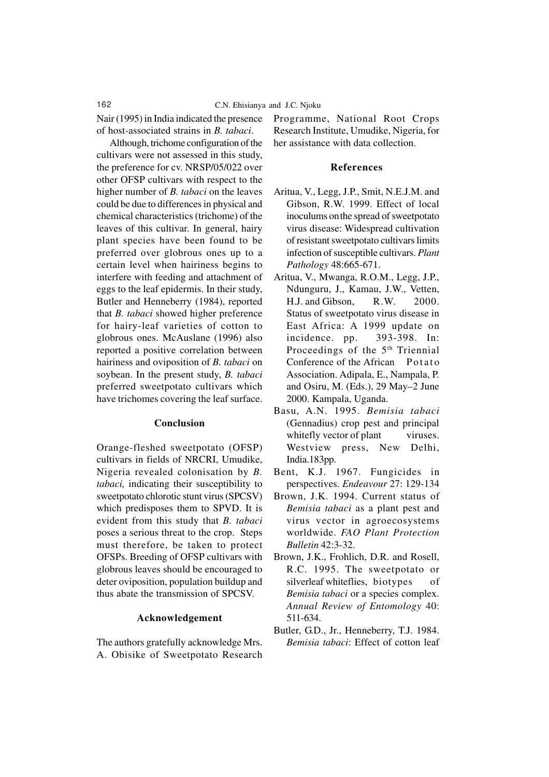Nair (1995) in India indicated the presence of host-associated strains in *B. tabaci*.

Although, trichome configuration of the cultivars were not assessed in this study, the preference for cv. NRSP/05/022 over other OFSP cultivars with respect to the higher number of *B. tabaci* on the leaves could be due to differences in physical and chemical characteristics (trichome) of the leaves of this cultivar. In general, hairy plant species have been found to be preferred over globrous ones up to a certain level when hairiness begins to interfere with feeding and attachment of eggs to the leaf epidermis. In their study, Butler and Henneberry (1984), reported that *B. tabaci* showed higher preference for hairy-leaf varieties of cotton to globrous ones. McAuslane (1996) also reported a positive correlation between hairiness and oviposition of *B. tabaci* on soybean. In the present study, *B. tabaci* preferred sweetpotato cultivars which have trichomes covering the leaf surface.

## **Conclusion**

Orange-fleshed sweetpotato (OFSP) cultivars in fields of NRCRI, Umudike, Nigeria revealed colonisation by *B. tabaci,* indicating their susceptibility to sweetpotato chlorotic stunt virus (SPCSV) which predisposes them to SPVD. It is evident from this study that *B. tabaci* poses a serious threat to the crop. Steps must therefore, be taken to protect OFSPs. Breeding of OFSP cultivars with globrous leaves should be encouraged to deter oviposition, population buildup and thus abate the transmission of SPCSV.

#### **Acknowledgement**

The authors gratefully acknowledge Mrs. A. Obisike of Sweetpotato Research Programme, National Root Crops Research Institute, Umudike, Nigeria, for her assistance with data collection.

#### **References**

- Aritua, V., Legg, J.P., Smit, N.E.J.M. and Gibson, R.W. 1999. Effect of local inoculums onthe spread of sweetpotato virus disease: Widespread cultivation of resistant sweetpotato cultivars limits infection of susceptible cultivars. *Plant Pathology* 48:665-671.
- Aritua, V., Mwanga, R.O.M., Legg, J.P., Ndunguru, J., Kamau, J.W., Vetten, H.J. and Gibson, R.W. 2000. Status of sweetpotato virus disease in East Africa: A 1999 update on incidence. pp. 393-398. In: Proceedings of the 5<sup>th</sup> Triennial Conference of the African Potato Association. Adipala, E., Nampala, P. and Osiru, M. (Eds.), 29 May–2 June 2000. Kampala, Uganda.
- Basu, A.N. 1995. *Bemisia tabaci* (Gennadius) crop pest and principal whitefly vector of plant viruses. Westview press, New Delhi, India.183pp.
- Bent, K.J. 1967. Fungicides in perspectives. *Endeavour* 27: 129-134
- Brown, J.K. 1994. Current status of *Bemisia tabaci* as a plant pest and virus vector in agroecosystems worldwide. *FAO Plant Protection Bulletin* 42:3-32.
- Brown, J.K., Frohlich, D.R. and Rosell, R.C. 1995. The sweetpotato or silverleaf whiteflies, biotypes of *Bemisia tabaci* or a species complex. *Annual Review of Entomology* 40: 511-634.
- Butler, G.D., Jr., Henneberry, T.J. 1984. *Bemisia tabaci*: Effect of cotton leaf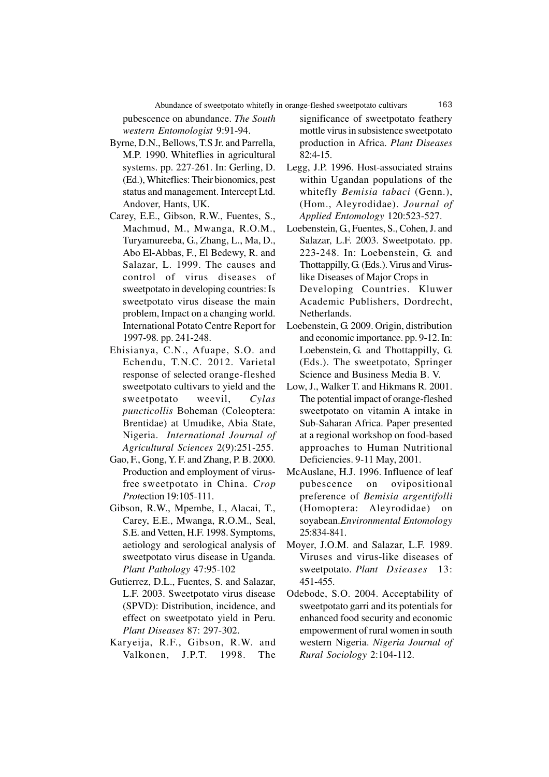pubescence on abundance. *The South western Entomologist* 9:91-94.

- Byrne, D.N., Bellows, T.S Jr. and Parrella, M.P. 1990. Whiteflies in agricultural systems. pp. 227-261. In: Gerling, D. (Ed.), Whiteflies: Their bionomics, pest status and management. Intercept Ltd. Andover, Hants, UK.
- Carey, E.E., Gibson, R.W., Fuentes, S., Machmud, M., Mwanga, R.O.M., Turyamureeba, G., Zhang, L., Ma, D., Abo El-Abbas, F., El Bedewy, R. and Salazar, L. 1999. The causes and control of virus diseases of sweetpotato in developing countries: Is sweetpotato virus disease the main problem, Impact on a changing world. International Potato Centre Report for 1997-98*.* pp. 241-248.
- Ehisianya, C.N., Afuape, S.O. and Echendu, T.N.C. 2012. Varietal response of selected orange-fleshed sweetpotato cultivars to yield and the sweetpotato weevil, *Cylas puncticollis* Boheman (Coleoptera: Brentidae) at Umudike, Abia State, Nigeria. *International Journal of Agricultural Sciences* 2(9):251-255.
- Gao, F., Gong, Y. F. and Zhang, P. B. 2000. Production and employment of virusfree sweetpotato in China. *Crop Prot*ection 19:105-111.
- Gibson, R.W., Mpembe, I., Alacai, T., Carey, E.E., Mwanga, R.O.M., Seal, S.E. and Vetten, H.F. 1998. Symptoms, aetiology and serological analysis of sweetpotato virus disease in Uganda. *Plant Pathology* 47:95-102
- Gutierrez, D.L., Fuentes, S. and Salazar, L.F. 2003. Sweetpotato virus disease (SPVD): Distribution, incidence, and effect on sweetpotato yield in Peru. *Plant Diseases* 87: 297-302.
- Karyeija, R.F., Gibson, R.W. and Valkonen, J.P.T. 1998. The

significance of sweetpotato feathery mottle virus in subsistence sweetpotato production in Africa. *Plant Diseases* 82:4-15.

- Legg, J.P. 1996. Host-associated strains within Ugandan populations of the whitefly *Bemisia tabaci* (Genn.), (Hom., Aleyrodidae). *Journal of Applied Entomology* 120:523-527.
- Loebenstein, G., Fuentes, S., Cohen, J. and Salazar, L.F. 2003. Sweetpotato. pp. 223-248. In: Loebenstein, G. and Thottappilly, G. (Eds.). Virus and Viruslike Diseases of Major Crops in Developing Countries. Kluwer Academic Publishers, Dordrecht, Netherlands.
- Loebenstein, G. 2009. Origin, distribution and economic importance. pp. 9-12. In: Loebenstein, G. and Thottappilly, G. (Eds.). The sweetpotato, Springer Science and Business Media B. V.
- Low, J., Walker T. and Hikmans R. 2001. The potential impact of orange-fleshed sweetpotato on vitamin A intake in Sub-Saharan Africa. Paper presented at a regional workshop on food-based approaches to Human Nutritional Deficiencies. 9-11 May, 2001.
- McAuslane, H.J. 1996. Influence of leaf pubescence on ovipositional preference of *Bemisia argentifolli* (Homoptera: Aleyrodidae) on soyabean.*Environmental Entomology* 25:834-841.
- Moyer, J.O.M. and Salazar, L.F. 1989. Viruses and virus-like diseases of sweetpotato. *Plant Dsieases* 13: 451-455.
- Odebode, S.O. 2004. Acceptability of sweetpotato garri and its potentials for enhanced food security and economic empowerment of rural women in south western Nigeria. *Nigeria Journal of Rural Sociology* 2:104-112.